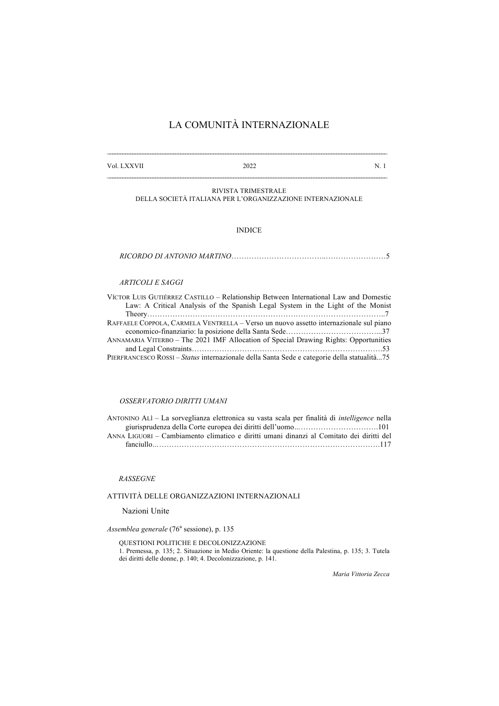# LA COMUNITÀ INTERNAZIONALE

| the contract of the contract of the contract of the contract of the contract of | Vol. LXXVII | 2022 |  |
|---------------------------------------------------------------------------------|-------------|------|--|
|---------------------------------------------------------------------------------|-------------|------|--|

 $\mathcal{L}_\text{max}$ 

RIVISTA TRIMESTRALE DELLA SOCIETÀ ITALIANA PER L'ORGANIZZAZIONE INTERNAZIONALE

### INDICE

*RICORDO DI ANTONIO MARTINO*………………………………..……………………5

### *ARTICOLI E SAGGI*

| VÍCTOR LUIS GUTIÉRREZ CASTILLO – Relationship Between International Law and Domestic        |
|---------------------------------------------------------------------------------------------|
| Law: A Critical Analysis of the Spanish Legal System in the Light of the Monist             |
|                                                                                             |
| RAFFAELE COPPOLA, CARMELA VENTRELLA – Verso un nuovo assetto internazionale sul piano       |
|                                                                                             |
| ANNAMARIA VITERBO - The 2021 IMF Allocation of Special Drawing Rights: Opportunities        |
|                                                                                             |
| PIERFRANCESCO ROSSI – Status internazionale della Santa Sede e categorie della statualità75 |

## *OSSERVATORIO DIRITTI UMANI*

ANTONINO ALÌ – La sorveglianza elettronica su vasta scala per finalità di *intelligence* nella giurisprudenza della Corte europea dei diritti dell'uomo*…*………………………….101 ANNA LIGUORI – Cambiamento climatico e diritti umani dinanzi al Comitato dei diritti del fanciullo*…*…………………………………………………………………………….117

#### *RASSEGNE*

## ATTIVITÀ DELLE ORGANIZZAZIONI INTERNAZIONALI

Nazioni Unite

*Assemblea generale* (76<sup>ª</sup> sessione), p. 135

QUESTIONI POLITICHE E DECOLONIZZAZIONE 1. Premessa, p. 135; 2. Situazione in Medio Oriente: la questione della Palestina, p. 135; 3. Tutela dei diritti delle donne, p. 140; 4. Decolonizzazione, p. 141.

*Maria Vittoria Zecca*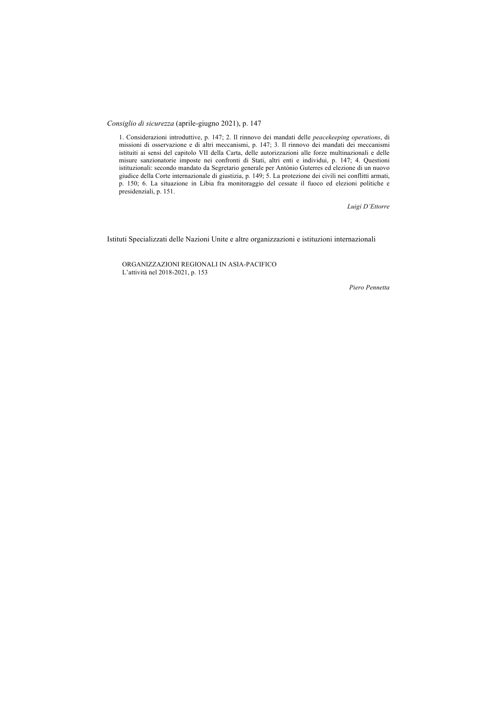*Consiglio di sicurezza* (aprile-giugno 2021), p. 147

1. Considerazioni introduttive, p. 147; 2. Il rinnovo dei mandati delle *peacekeeping operations*, di missioni di osservazione e di altri meccanismi, p. 147; 3. Il rinnovo dei mandati dei meccanismi istituiti ai sensi del capitolo VII della Carta, delle autorizzazioni alle forze multinazionali e delle misure sanzionatorie imposte nei confronti di Stati, altri enti e individui, p. 147; 4. Questioni istituzionali: secondo mandato da Segretario generale per António Guterres ed elezione di un nuovo giudice della Corte internazionale di giustizia, p. 149; 5. La protezione dei civili nei conflitti armati, p. 150; 6. La situazione in Libia fra monitoraggio del cessate il fuoco ed elezioni politiche e presidenziali, p. 151.

*Luigi D'Ettorre*

Istituti Specializzati delle Nazioni Unite e altre organizzazioni e istituzioni internazionali

ORGANIZZAZIONI REGIONALI IN ASIA-PACIFICO L'attività nel 2018-2021, p. 153

*Piero Pennetta*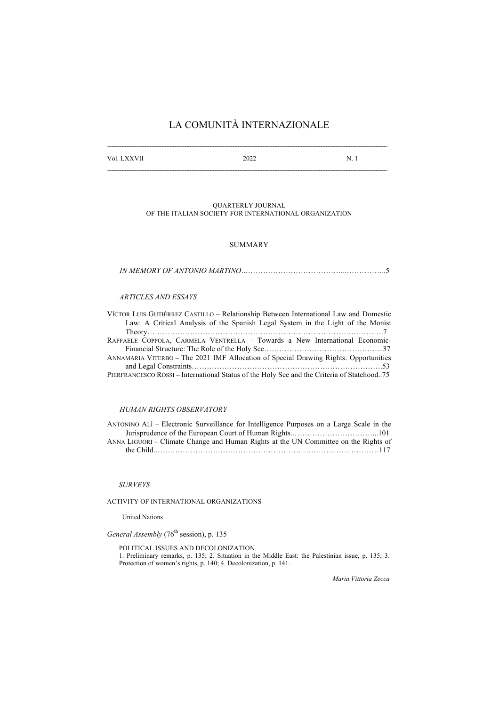# LA COMUNITÀ INTERNAZIONALE

| Vol. LXXVII | 2022 | N |
|-------------|------|---|
|             |      |   |

QUARTERLY JOURNAL OF THE ITALIAN SOCIETY FOR INTERNATIONAL ORGANIZATION

## SUMMARY

#### *ARTICLES AND ESSAYS*

| VÍCTOR LUIS GUTIÉRREZ CASTILLO – Relationship Between International Law and Domestic       |
|--------------------------------------------------------------------------------------------|
| Law: A Critical Analysis of the Spanish Legal System in the Light of the Monist            |
|                                                                                            |
| RAFFAELE COPPOLA, CARMELA VENTRELLA - Towards a New International Economic-                |
|                                                                                            |
| ANNAMARIA VITERBO – The 2021 IMF Allocation of Special Drawing Rights: Opportunities       |
|                                                                                            |
| PIERFRANCESCO ROSSI – International Status of the Holy See and the Criteria of Statehood75 |

### *HUMAN RIGHTS OBSERVATORY*

| ANTONINO ALI – Electronic Surveillance for Intelligence Purposes on a Large Scale in the |  |
|------------------------------------------------------------------------------------------|--|
|                                                                                          |  |
| ANNA LIGUORI – Climate Change and Human Rights at the UN Committee on the Rights of      |  |
|                                                                                          |  |

### *SURVEYS*

ACTIVITY OF INTERNATIONAL ORGANIZATIONS

United Nations

*General Assembly* (76<sup>th</sup> session), p. 135

POLITICAL ISSUES AND DECOLONIZATION 1. Preliminary remarks, p. 135; 2. Situation in the Middle East: the Palestinian issue, p. 135; 3. Protection of women's rights, p. 140; 4. Decolonization, p. 141.

*Maria Vittoria Zecca*